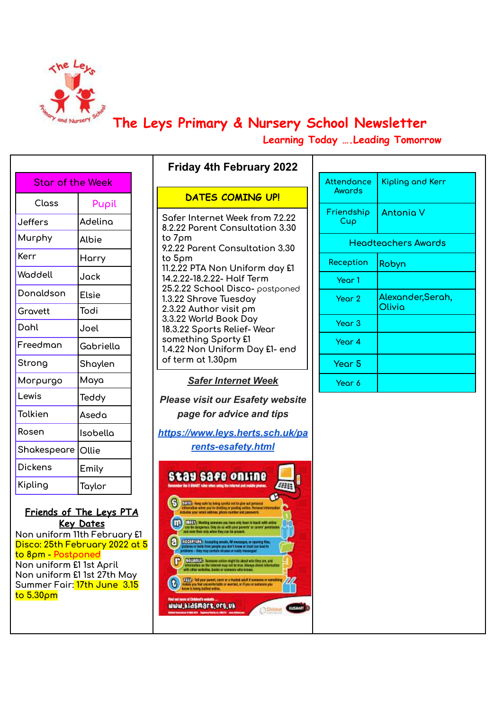

**The Leys Primary & Nursery School Newsletter**

**Learning Today ….Leading Tomorrow**

| Pupil<br>Adelina |
|------------------|
|                  |
|                  |
|                  |
|                  |
|                  |
|                  |
|                  |
|                  |
|                  |
| Gabriella        |
| Shaylen          |
|                  |
|                  |
|                  |
| Isobella         |
|                  |
|                  |
|                  |
|                  |

**Friends of The Leys PTA Key Dates Non uniform 11th February £1 Disco: 25th February 2022 at 5 to 8pm - Postponed Non uniform £1 1st April Non uniform £1 1st 27th May Summer Fair: 17th June 3.15 to 5.30pm**

|  | <b>DATES COMING UP!</b> |  |
|--|-------------------------|--|
|  |                         |  |

**Friday 4th February 2022**

**Safer Internet Week from 7.2.22 8.2.22 Parent Consultation 3.30 to 7pm 9.2.22 Parent Consultation 3.30 to 5pm 11.2.22 PTA Non Uniform day £1 14.2.22-18.2.22- Half Term 25.2.22 School Disco-** postponed **1.3.22 Shrove Tuesday 2.3.22 Author visit pm 3.3.22 World Book Day 18.3.22 Sports Relief- Wear something Sporty £1 1.4.22 Non Uniform Day £1- end of term at 1.30pm**

*Safer Internet Week*

*Please visit our Esafety website page for advice and tips*

*[https://www.leys.herts.sch.uk/pa](https://www.leys.herts.sch.uk/parents-esafety.html) [rents-esafety.html](https://www.leys.herts.sch.uk/parents-esafety.html)*



| Attendance<br>Awards | Kipling and Kerr            |  |
|----------------------|-----------------------------|--|
| Friendship<br>Cup    | <b>Antonia V</b>            |  |
|                      | Headteachers Awards         |  |
| Reception            | Robyn                       |  |
| Year 1               |                             |  |
| Year 2               | Alexander, Serah,<br>Olivia |  |
| Year <sub>3</sub>    |                             |  |
| Year 4               |                             |  |
| Year <sub>5</sub>    |                             |  |
| Year 6               |                             |  |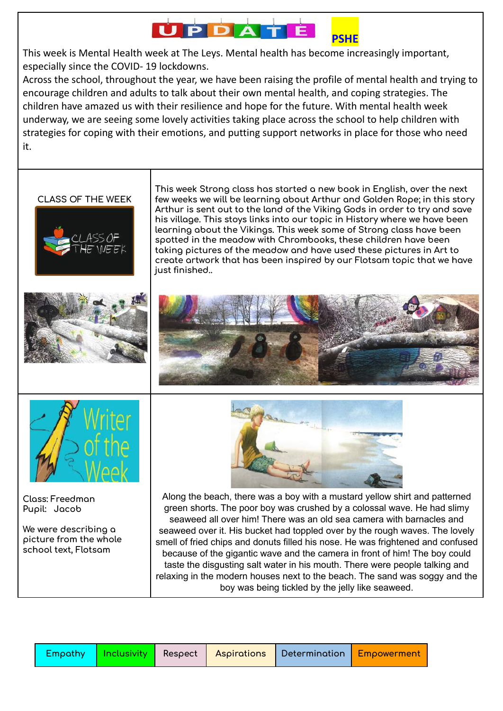#### **JPD PSHE**

This week is Mental Health week at The Leys. Mental health has become increasingly important, especially since the COVID- 19 lockdowns.

Across the school, throughout the year, we have been raising the profile of mental health and trying to encourage children and adults to talk about their own mental health, and coping strategies. The children have amazed us with their resilience and hope for the future. With mental health week underway, we are seeing some lovely activities taking place across the school to help children with strategies for coping with their emotions, and putting support networks in place for those who need it.



|  |  | <b>Empathy   Inclusivity  </b> Respect   Aspirations   Determination   Empowerment |  |
|--|--|------------------------------------------------------------------------------------|--|
|  |  |                                                                                    |  |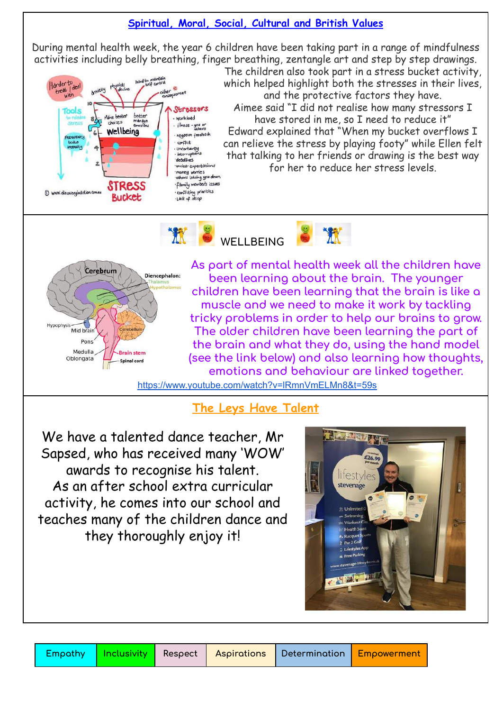### **Spiritual, Moral, Social, Cultural and British Values**

During mental health week, the year 6 children have been taking part in a range of mindfulness activities including belly breathing, finger breathing, zentangle art and step by step drawings.



The children also took part in a stress bucket activity, which helped highlight both the stresses in their lives, and the protective factors they have. Aimee said "I did not realise how many stressors I have stored in me, so I need to reduce it" Edward explained that "When my bucket overflows I can relieve the stress by playing footy" while Ellen felt that talking to her friends or drawing is the best way for her to reduce her stress levels.





**As part of mental health week all the children have been learning about the brain. The younger children have been learning that the brain is like a muscle and we need to make it work by tackling tricky problems in order to help our brains to grow. The older children have been learning the part of the brain and what they do, using the hand model (see the link below) and also learning how thoughts, emotions and behaviour are linked together.**

**B** XX

<https://www.youtube.com/watch?v=lRmnVmELMn8&t=59s>

### **The Leys Have Talent**

We have a talented dance teacher, Mr Sapsed, who has received many 'WOW' awards to recognise his talent. As an after school extra curricular activity, he comes into our school and teaches many of the children dance and they thoroughly enjoy it!

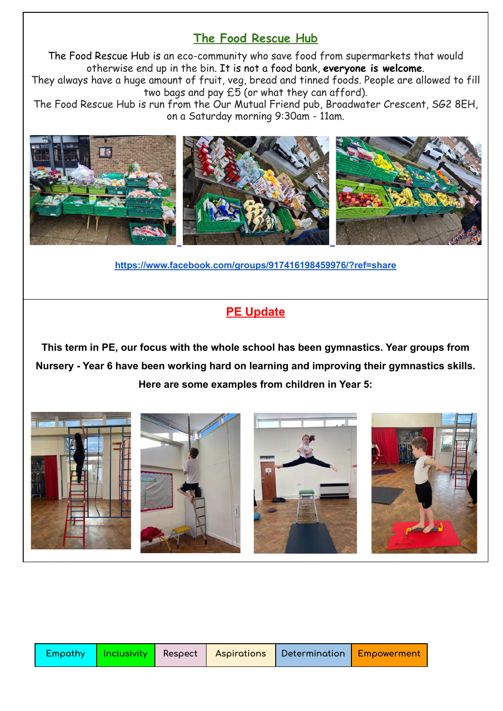# **The Food Rescue Hub**

The Food Rescue Hub is an eco-community who save food from supermarkets that would otherwise end up in the bin. It is not a food bank, **everyone is welcome**.

They always have a huge amount of fruit, veg, bread and tinned foods. People are allowed to fill two bags and pay  $E\overline{5}$  (or what they can afford).

The Food Rescue Hub is run from the Our Mutual Friend pub, Broadwater Crescent, SG2 8EH, on a Saturday morning 9:30am - 11am.



**<https://www.facebook.com/groups/917416198459976/?ref=share>**

## **PE Update**

**This term in PE, our focus with the whole school has been gymnastics. Year groups from Nursery - Year 6 have been working hard on learning and improving their gymnastics skills. Here are some examples from children in Year 5:**

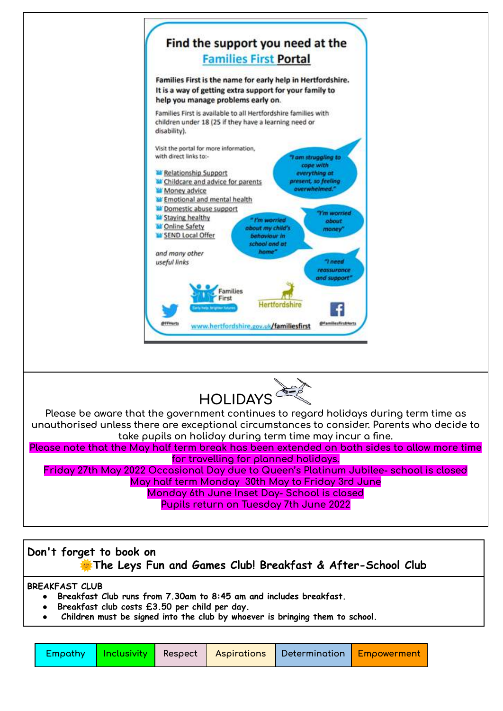

# **Don't forget to book on The Leys Fun and Games Club! Breakfast & After-School Club**

**BREAKFAST CLUB**

- **● Breakfast Club runs from 7.30am to 8:45 am and includes breakfast.**
- **● Breakfast club costs £3.50 per child per day.**
- **● Children must be signed into the club by whoever is bringing them to school.**

|  |  |  |  | Empathy   Inclusivity   Respect   Aspirations   Determination   Empowerment |  |
|--|--|--|--|-----------------------------------------------------------------------------|--|
|--|--|--|--|-----------------------------------------------------------------------------|--|